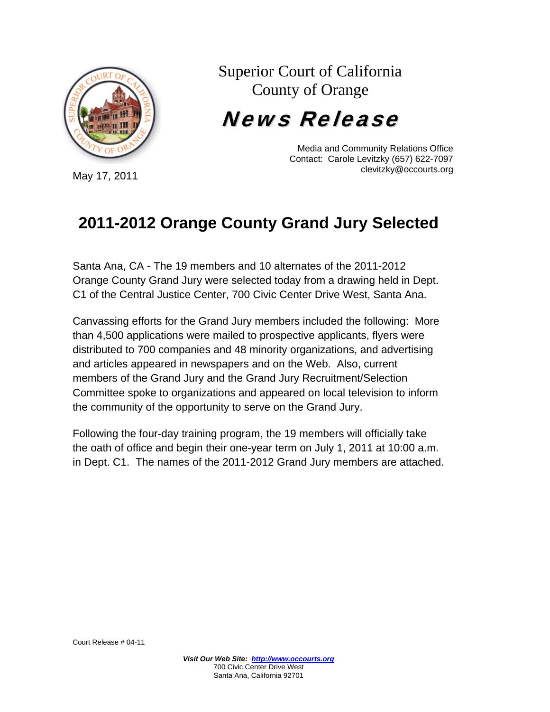

Superior Court of California County of Orange

News Release

Media and Community Relations Office Contact: Carole Levitzky (657) 622-7097 clevitzky@occourts.org

## **2011-2012 Orange County Grand Jury Selected**

Santa Ana, CA - The 19 members and 10 alternates of the 2011-2012 Orange County Grand Jury were selected today from a drawing held in Dept. C1 of the Central Justice Center, 700 Civic Center Drive West, Santa Ana.

Canvassing efforts for the Grand Jury members included the following: More than 4,500 applications were mailed to prospective applicants, flyers were distributed to 700 companies and 48 minority organizations, and advertising and articles appeared in newspapers and on the Web. Also, current members of the Grand Jury and the Grand Jury Recruitment/Selection Committee spoke to organizations and appeared on local television to inform the community of the opportunity to serve on the Grand Jury.

Following the four-day training program, the 19 members will officially take the oath of office and begin their one-year term on July 1, 2011 at 10:00 a.m. in Dept. C1. The names of the 2011-2012 Grand Jury members are attached.

May 17, 2011